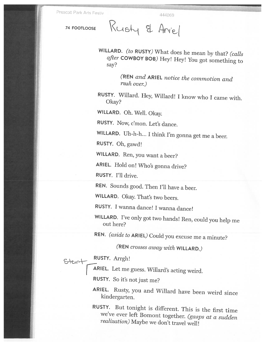Prescott Park Arts Festiv 444869

74 FOOTLOOSE Rusty & Aniel

WILLARD. (to RUSTY) What does he mean by that? (calls after COWBOY BOB) Hey! Hey! You got something to say?

(REN and ARIEL notice the commotion and rush over.)

RUSTY. Willard. Hey, Willard! <sup>I</sup> know who <sup>I</sup> came with. Okay?

WILLARD. Oh. Well. Okay.

RUSTY. Now, <sup>c</sup>'mon. Let's dance.

WILLARD. Uh-h-h... <sup>I</sup> think I'm gonna get me <sup>a</sup> beer.

RUSTY. Oh, gawd!

WILLARD. Ren, you want abeer?

ARIEL. Hold on! Who's gonna drive?

RUSTY. I'll drive.

REN. Sounds good. Then I'll have <sup>a</sup> beer.

WILLARD. Okay. That's two beers.

RUSTY. <sup>I</sup> wanna dance! <sup>I</sup> wanna dance!

WILLARD. I've only got two hands! Ren, could you help me out here?

REN. (aside to ARIEL) Could you excuse me <sup>a</sup> minute?

(REN crosses away with WILLARD.)

RUSTY. Arrgh!

**ARIEL.** Let me guess. Willard's acting weird.

RUSTY. So it's not just me?

ARIEL. Rusty, you and Willard have been weird since kindergarten.

RUSTY. But tonight is different. This is the first time we've ever left Bomont together. (gasps at <sup>a</sup> sudden realization) Maybe we don't travel well!